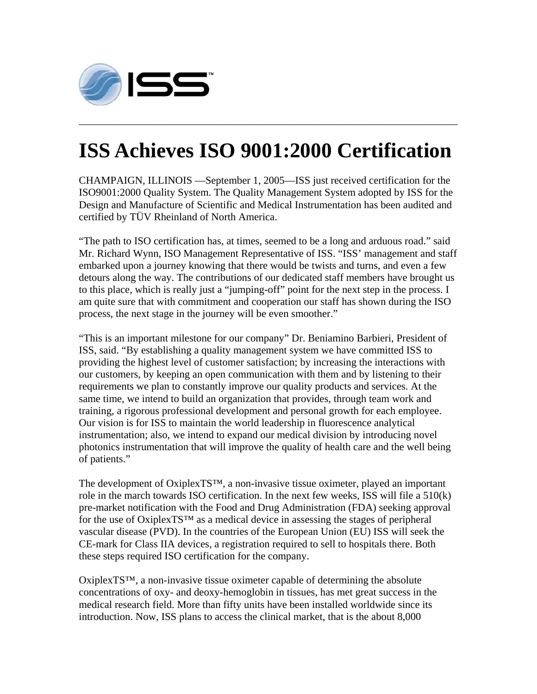

## **ISS Achieves ISO 9001:2000 Certification**

**\_\_\_\_\_\_\_\_\_\_\_\_\_\_\_\_\_\_\_\_\_\_\_\_\_\_\_\_\_\_\_\_\_\_\_\_\_\_\_\_\_\_\_\_\_\_\_\_\_\_\_\_\_\_\_\_\_\_\_\_\_\_\_\_\_\_\_\_\_\_\_\_\_\_\_\_\_\_\_\_\_\_\_\_\_\_\_\_\_\_\_\_\_\_\_\_\_\_\_\_\_\_\_\_\_\_\_\_** 

CHAMPAIGN, ILLINOIS —September 1, 2005—ISS just received certification for the ISO9001:2000 Quality System. The Quality Management System adopted by ISS for the Design and Manufacture of Scientific and Medical Instrumentation has been audited and certified by TÜV Rheinland of North America.

"The path to ISO certification has, at times, seemed to be a long and arduous road." said Mr. Richard Wynn, ISO Management Representative of ISS. "ISS' management and staff embarked upon a journey knowing that there would be twists and turns, and even a few detours along the way. The contributions of our dedicated staff members have brought us to this place, which is really just a "jumping-off" point for the next step in the process. I am quite sure that with commitment and cooperation our staff has shown during the ISO process, the next stage in the journey will be even smoother."

"This is an important milestone for our company" Dr. Beniamino Barbieri, President of ISS, said. "By establishing a quality management system we have committed ISS to providing the highest level of customer satisfaction; by increasing the interactions with our customers, by keeping an open communication with them and by listening to their requirements we plan to constantly improve our quality products and services. At the same time, we intend to build an organization that provides, through team work and training, a rigorous professional development and personal growth for each employee. Our vision is for ISS to maintain the world leadership in fluorescence analytical instrumentation; also, we intend to expand our medical division by introducing novel photonics instrumentation that will improve the quality of health care and the well being of patients."

The development of OxiplexTS™, a non-invasive tissue oximeter, played an important role in the march towards ISO certification. In the next few weeks, ISS will file a 510(k) pre-market notification with the Food and Drug Administration (FDA) seeking approval for the use of OxiplexTS<sup>™</sup> as a medical device in assessing the stages of peripheral vascular disease (PVD). In the countries of the European Union (EU) ISS will seek the CE-mark for Class IIA devices, a registration required to sell to hospitals there. Both these steps required ISO certification for the company.

 $Oxi \Gamma S^{TM}$ , a non-invasive tissue oximeter capable of determining the absolute concentrations of oxy- and deoxy-hemoglobin in tissues, has met great success in the medical research field. More than fifty units have been installed worldwide since its introduction. Now, ISS plans to access the clinical market, that is the about 8,000